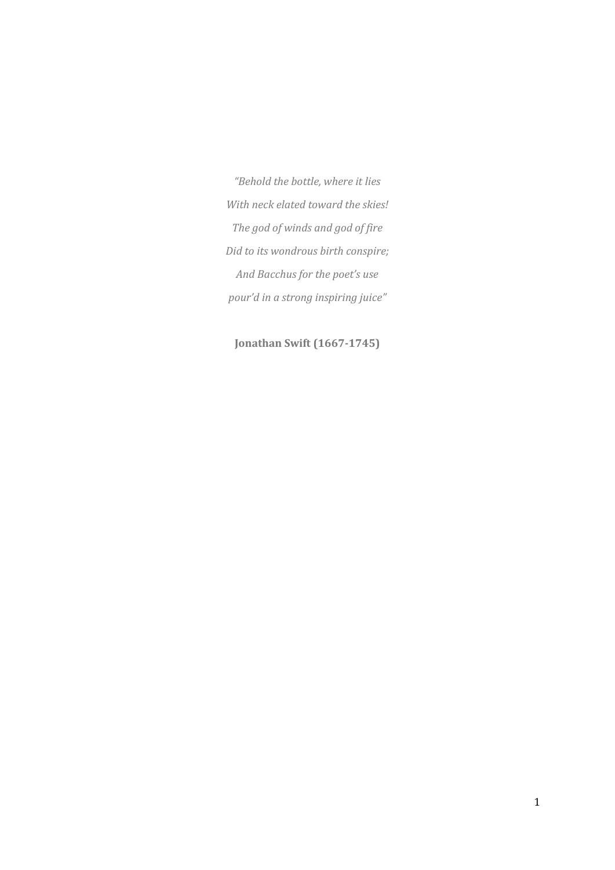*"Behold the bottle, where it lies With neck elated toward the skies! The god of winds and god of fire Did to its wondrous birth conspire; And Bacchus for the poet's use pour'd in a strong inspiring juice"*

**Jonathan Swift (1667-1745)**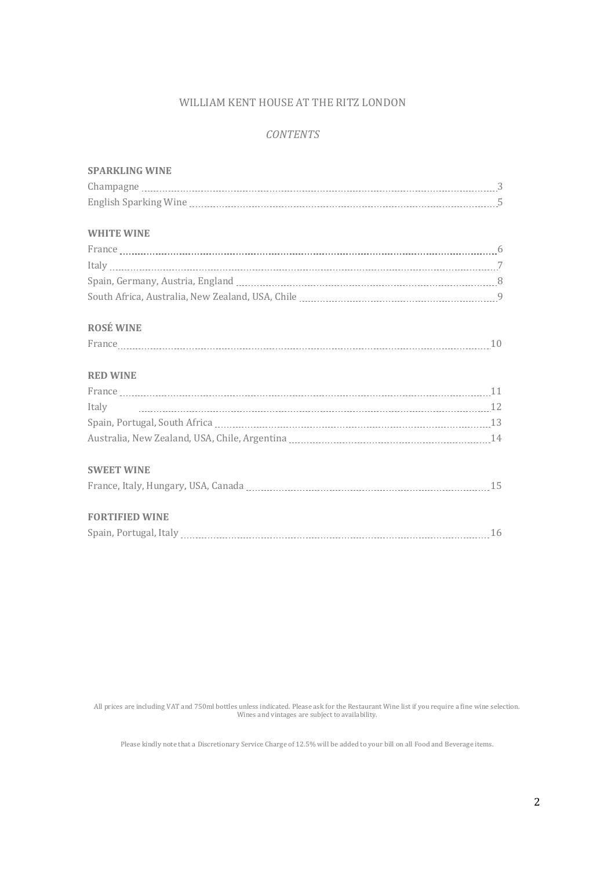### WILLIAM KENT HOUSE AT THE RITZ LONDON

## *CONTENTS*

| <b>SPARKLING WINE</b>                           |  |
|-------------------------------------------------|--|
|                                                 |  |
|                                                 |  |
|                                                 |  |
| <b>WHITE WINE</b>                               |  |
|                                                 |  |
|                                                 |  |
|                                                 |  |
|                                                 |  |
| <b>ROSÉ WINE</b>                                |  |
| $\text{France} \textcolor{red}{min}{\text{}}10$ |  |
| <b>RED WINE</b>                                 |  |
|                                                 |  |
| Italy                                           |  |
|                                                 |  |
|                                                 |  |
| <b>SWEET WINE</b>                               |  |
|                                                 |  |
| <b>FORTIFIED WINE</b>                           |  |
|                                                 |  |
|                                                 |  |

All prices are including VAT and 750ml bottles unless indicated. Please ask for the Restaurant Wine list if you require a fine wine selection. Wines and vintages are subject to availability.

Please kindly note that a Discretionary Service Charge of 12.5% will be added to your bill on all Food and Beverage items.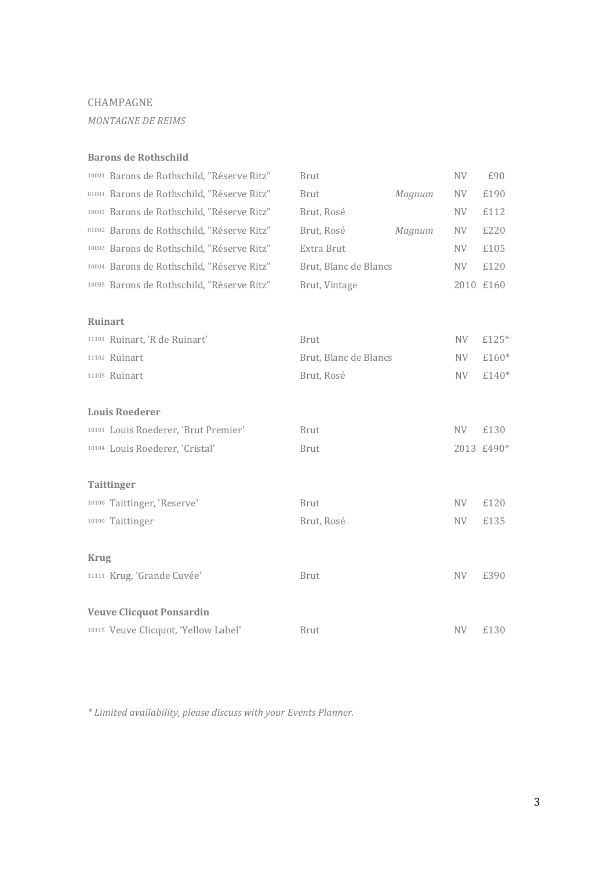## CHAMPAGNE

*MONTAGNE DE REIMS*

#### **Barons de Rothschild**

|                | 10001 Barons de Rothschild, "Réserve Ritz" | <b>Brut</b>           |        | NV        | £90        |
|----------------|--------------------------------------------|-----------------------|--------|-----------|------------|
|                | 81001 Barons de Rothschild, "Réserve Ritz" | <b>Brut</b>           | Magnum | NV        | £190       |
|                | 10002 Barons de Rothschild, "Réserve Ritz" | Brut, Rosé            |        | <b>NV</b> | £112       |
|                | 81002 Barons de Rothschild, "Réserve Ritz" | Brut, Rosé            | Magnum | NV        | £220       |
|                | 10003 Barons de Rothschild, "Réserve Ritz" | Extra Brut            |        | NV        | £105       |
|                | 10004 Barons de Rothschild, "Réserve Ritz" | Brut, Blanc de Blancs |        | <b>NV</b> | £120       |
|                | 10005 Barons de Rothschild, "Réserve Ritz" | Brut, Vintage         |        | 2010 £160 |            |
| <b>Ruinart</b> |                                            |                       |        |           |            |
|                | 11101 Ruinart, 'R de Ruinart'              | <b>Brut</b>           |        | NV        | £125*      |
|                | 11102 Ruinart                              | Brut, Blanc de Blancs |        | <b>NV</b> | £160*      |
|                | 11105 Ruinart                              | Brut, Rosé            |        | <b>NV</b> | £140*      |
|                | <b>Louis Roederer</b>                      |                       |        |           |            |
|                | 10101 Louis Roederer, 'Brut Premier'       | <b>Brut</b>           |        | <b>NV</b> | £130       |
|                | 10104 Louis Roederer, 'Cristal'            | <b>Brut</b>           |        |           | 2013 £490* |
|                | <b>Taittinger</b>                          |                       |        |           |            |
|                | 10106 Taittinger, 'Reserve'                | <b>Brut</b>           |        | NV        | £120       |
|                | 10109 Taittinger                           | Brut, Rosé            |        | <b>NV</b> | £135       |
| <b>Krug</b>    |                                            |                       |        |           |            |
|                | 11111 Krug, 'Grande Cuvée'                 | <b>Brut</b>           |        | <b>NV</b> | £390       |
|                | <b>Veuve Clicquot Ponsardin</b>            |                       |        |           |            |
|                | 10115 Veuve Clicquot, 'Yellow Label'       | <b>Brut</b>           |        | <b>NV</b> | £130       |

*\* Limited availability, please discuss with your Events Planner.*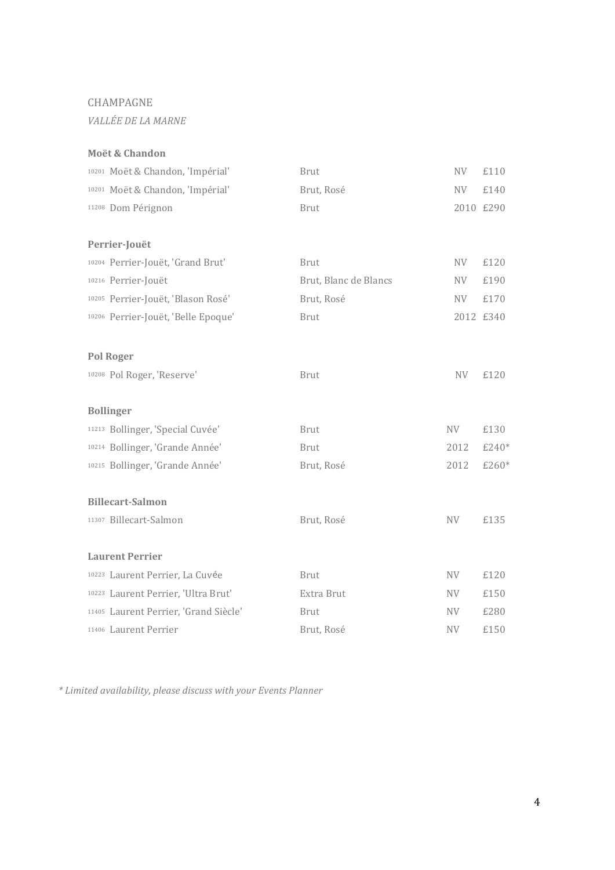## CHAMPAGNE

*VALLÉE DE LA MARNE*

## **Moët & Chandon**

| 10201 Moët & Chandon, 'Impérial'      | <b>Brut</b>           | <b>NV</b> | £110      |
|---------------------------------------|-----------------------|-----------|-----------|
| 10201 Moët & Chandon, 'Impérial'      | Brut, Rosé            | <b>NV</b> | £140      |
| 11208 Dom Pérignon                    | <b>Brut</b>           |           | 2010 £290 |
|                                       |                       |           |           |
| Perrier-Jouët                         |                       |           |           |
| 10204 Perrier-Jouët, 'Grand Brut'     | <b>Brut</b>           | <b>NV</b> | £120      |
| 10216 Perrier-Jouët                   | Brut, Blanc de Blancs | NV        | £190      |
| 10205 Perrier-Jouët, 'Blason Rosé'    | Brut, Rosé            | NV        | £170      |
| 10206 Perrier-Jouët, 'Belle Epoque'   | <b>Brut</b>           |           | 2012 £340 |
|                                       |                       |           |           |
| <b>Pol Roger</b>                      |                       |           |           |
| 10208 Pol Roger, 'Reserve'            | <b>Brut</b>           | <b>NV</b> | £120      |
|                                       |                       |           |           |
| <b>Bollinger</b>                      |                       |           |           |
| 11213 Bollinger, 'Special Cuvée'      | <b>Brut</b>           | <b>NV</b> | £130      |
| 10214 Bollinger, 'Grande Année'       | <b>Brut</b>           | 2012      | £240*     |
| 10215 Bollinger, 'Grande Année'       | Brut, Rosé            | 2012      | £260*     |
|                                       |                       |           |           |
| <b>Billecart-Salmon</b>               |                       |           |           |
| 11307 Billecart-Salmon                | Brut, Rosé            | <b>NV</b> | £135      |
|                                       |                       |           |           |
| <b>Laurent Perrier</b>                |                       |           |           |
| 10223 Laurent Perrier, La Cuvée       | <b>Brut</b>           | NV        | £120      |
| 10223 Laurent Perrier, 'Ultra Brut'   | Extra Brut            | NV        | £150      |
| 11405 Laurent Perrier, 'Grand Siècle' | <b>Brut</b>           | NV        | £280      |
| 11406 Laurent Perrier                 |                       |           |           |

*\* Limited availability, please discuss with your Events Planner*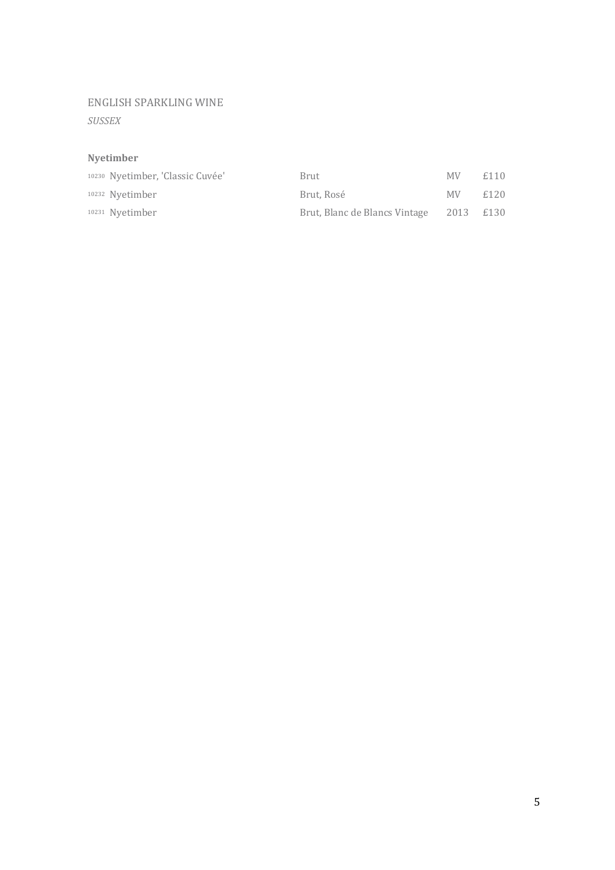## ENGLISH SPARKLING WINE

*SUSSEX*

## **Nyetimber**

| 10230 Nyetimber, 'Classic Cuvée' | Brut                          | MV.       | £110 |
|----------------------------------|-------------------------------|-----------|------|
| 10232 Nvetimber                  | Brut, Rosé                    | MV.       | £120 |
| <sup>10231</sup> Nvetimber       | Brut, Blanc de Blancs Vintage | 2013 £130 |      |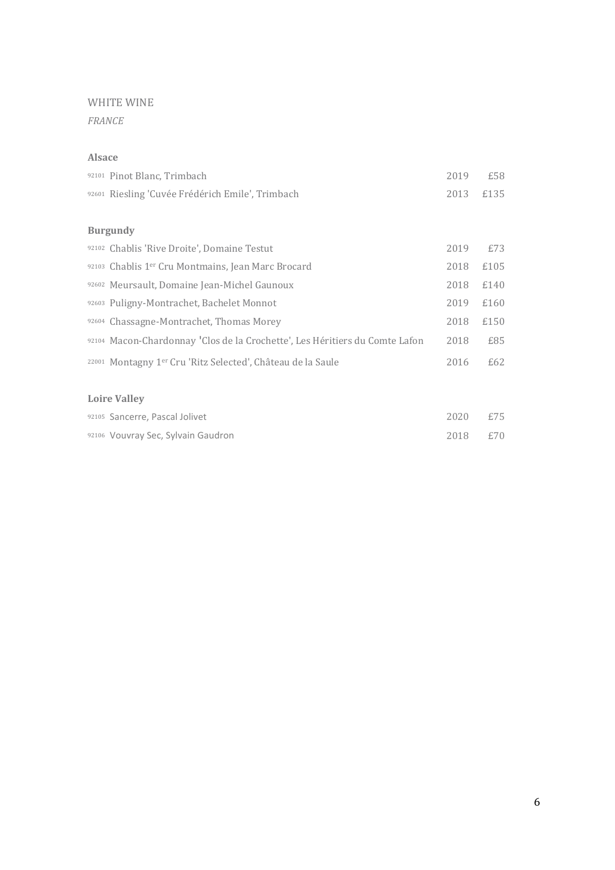*FRANCE*

#### **Alsace**

| 92101 Pinot Blanc, Trimbach                                                 | 2019 | £58  |
|-----------------------------------------------------------------------------|------|------|
| 92601 Riesling 'Cuvée Frédérich Emile', Trimbach                            | 2013 | £135 |
|                                                                             |      |      |
| <b>Burgundy</b>                                                             |      |      |
| 92102 Chablis 'Rive Droite', Domaine Testut                                 | 2019 | £73  |
| 92103 Chablis 1er Cru Montmains, Jean Marc Brocard                          | 2018 | £105 |
| 92602 Meursault, Domaine Jean-Michel Gaunoux                                | 2018 | £140 |
| 92603 Puligny-Montrachet, Bachelet Monnot                                   | 2019 | £160 |
| 92604 Chassagne-Montrachet, Thomas Morey                                    | 2018 | £150 |
| 92104 Macon-Chardonnay 'Clos de la Crochette', Les Héritiers du Comte Lafon | 2018 | £85  |
| 22001 Montagny 1er Cru 'Ritz Selected', Château de la Saule                 | 2016 | £62  |
|                                                                             |      |      |
| <b>Loire Valley</b>                                                         |      |      |
| 92105 Sancerre, Pascal Jolivet                                              | 2020 | £75  |
| 92106 Vouvray Sec, Sylvain Gaudron                                          | 2018 | £70  |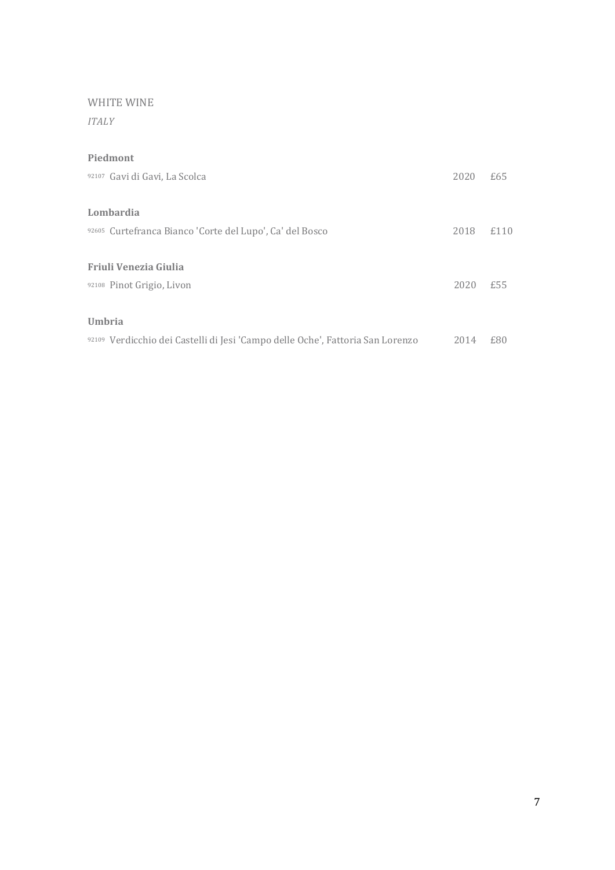*ITALY*

## **Piedmont**

| 92107 Gavi di Gavi, La Scolca                                                  | 2020 | £65  |
|--------------------------------------------------------------------------------|------|------|
| Lombardia                                                                      |      |      |
| 92605 Curtefranca Bianco 'Corte del Lupo', Ca' del Bosco                       | 2018 | £110 |
| Friuli Venezia Giulia                                                          |      |      |
| 92108 Pinot Grigio, Livon                                                      | 2020 | £55  |
| <b>Umbria</b>                                                                  |      |      |
| 92109 Verdicchio dei Castelli di Jesi 'Campo delle Oche', Fattoria San Lorenzo | 2014 | £80  |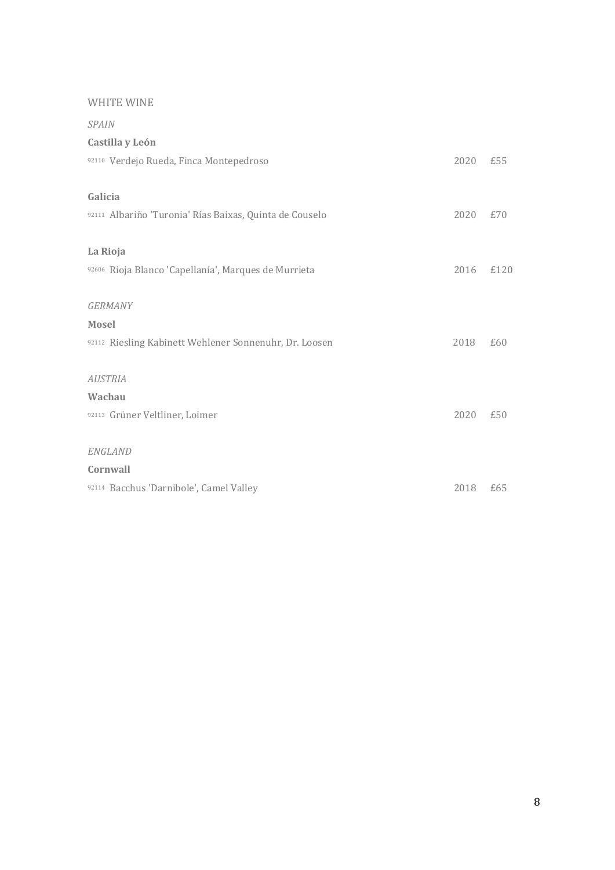| <b>SPAIN</b>                                            |      |      |
|---------------------------------------------------------|------|------|
| Castilla y León                                         |      |      |
| 92110 Verdejo Rueda, Finca Montepedroso                 | 2020 | £55  |
| Galicia                                                 |      |      |
| 92111 Albariño 'Turonia' Rías Baixas, Quinta de Couselo | 2020 | £70  |
| La Rioja                                                |      |      |
| 92606 Rioja Blanco 'Capellanía', Marques de Murrieta    | 2016 | £120 |
| <b>GERMANY</b>                                          |      |      |
| <b>Mosel</b>                                            |      |      |
| 92112 Riesling Kabinett Wehlener Sonnenuhr, Dr. Loosen  | 2018 | £60  |
| <b>AUSTRIA</b>                                          |      |      |
| Wachau                                                  |      |      |
| 92113 Grüner Veltliner, Loimer                          | 2020 | £50  |
| ENGLAND                                                 |      |      |
| Cornwall                                                |      |      |
| 92114 Bacchus 'Darnibole', Camel Valley                 | 2018 | £65  |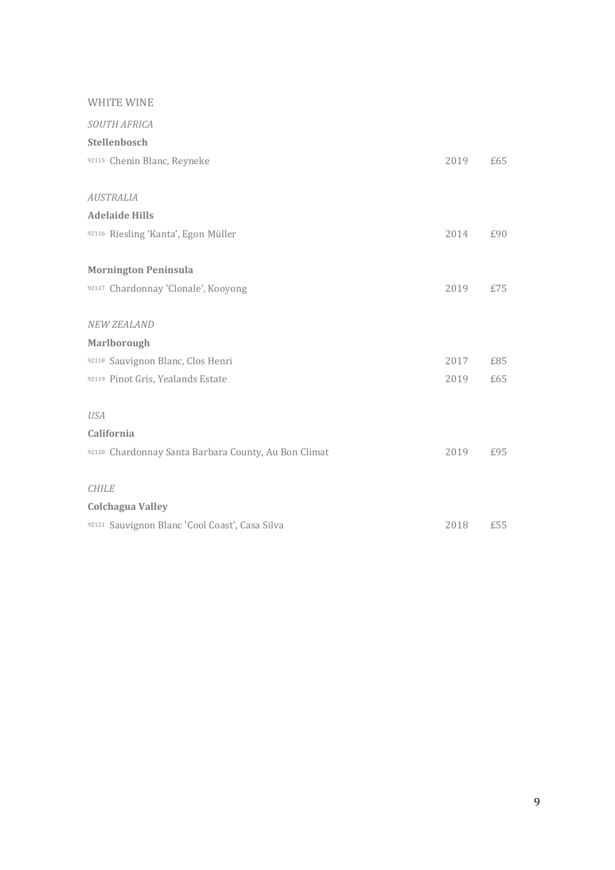| SOUTH AFRICA                                         |      |     |
|------------------------------------------------------|------|-----|
| Stellenbosch                                         |      |     |
| 92115 Chenin Blanc, Reyneke                          | 2019 | £65 |
|                                                      |      |     |
| <b>AUSTRALIA</b>                                     |      |     |
| <b>Adelaide Hills</b>                                |      |     |
| 92116 Riesling 'Kanta', Egon Müller                  | 2014 | £90 |
|                                                      |      |     |
| <b>Mornington Peninsula</b>                          |      |     |
| 92117 Chardonnay 'Clonale', Kooyong                  | 2019 | £75 |
|                                                      |      |     |
| <b>NEW ZEALAND</b>                                   |      |     |
| <b>Marlborough</b>                                   |      |     |
| 92118 Sauvignon Blanc, Clos Henri                    | 2017 | £85 |
| 92119 Pinot Gris, Yealands Estate                    | 2019 | £65 |
|                                                      |      |     |
| <b>USA</b>                                           |      |     |
| California                                           |      |     |
| 92120 Chardonnay Santa Barbara County, Au Bon Climat | 2019 | £95 |
|                                                      |      |     |
| <b>CHILE</b>                                         |      |     |
| <b>Colchagua Valley</b>                              |      |     |
| 92121 Sauvignon Blanc 'Cool Coast', Casa Silva       | 2018 | £55 |
|                                                      |      |     |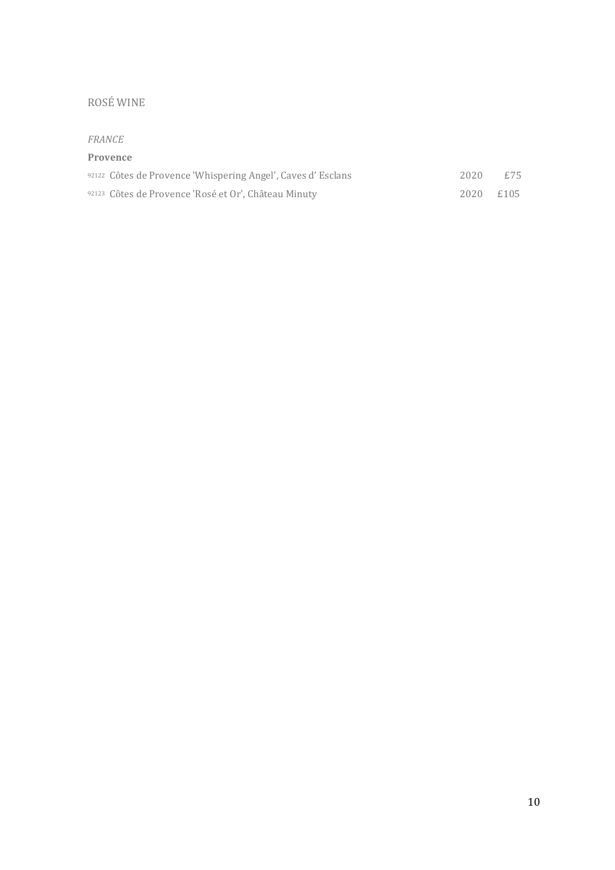# ROSÉ WINE

#### *FRANCE*

#### **Provence**

| 92122 Côtes de Provence 'Whispering Angel', Caves d'Esclans | 2020      | £75 |
|-------------------------------------------------------------|-----------|-----|
| 92123 Côtes de Provence 'Rosé et Or', Château Minuty        | 2020 £105 |     |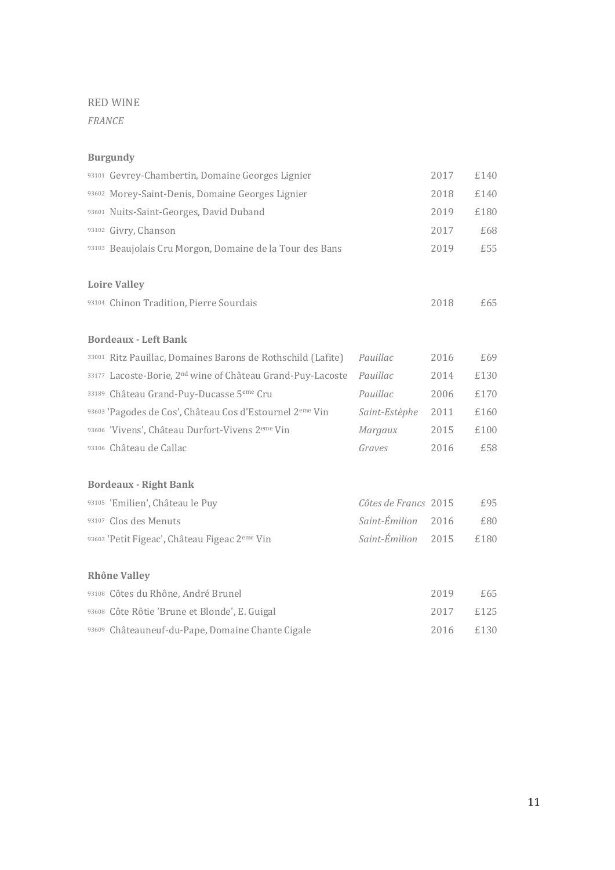*FRANCE*

## **Burgundy**

| 93101 Gevrey-Chambertin, Domaine Georges Lignier                       |                      | 2017 | £140 |
|------------------------------------------------------------------------|----------------------|------|------|
| 93602 Morey-Saint-Denis, Domaine Georges Lignier                       |                      | 2018 | £140 |
| 93601 Nuits-Saint-Georges, David Duband                                |                      | 2019 | £180 |
| 93102 Givry, Chanson                                                   |                      | 2017 | £68  |
| 93103 Beaujolais Cru Morgon, Domaine de la Tour des Bans               |                      | 2019 | £55  |
|                                                                        |                      |      |      |
| <b>Loire Valley</b>                                                    |                      |      |      |
| 93104 Chinon Tradition, Pierre Sourdais                                |                      | 2018 | £65  |
|                                                                        |                      |      |      |
| <b>Bordeaux - Left Bank</b>                                            |                      |      |      |
| 33001 Ritz Pauillac, Domaines Barons de Rothschild (Lafite)            | Pauillac             | 2016 | £69  |
| 33177 Lacoste-Borie, 2 <sup>nd</sup> wine of Château Grand-Puy-Lacoste | Pauillac             | 2014 | £130 |
| 33189 Château Grand-Puy-Ducasse 5 <sup>eme</sup> Cru                   | Pauillac             | 2006 | £170 |
| 93603 'Pagodes de Cos', Château Cos d'Estournel 2 <sup>eme</sup> Vin   | Saint-Estèphe        | 2011 | £160 |
| 93606 'Vivens', Château Durfort-Vivens 2 <sup>eme</sup> Vin            | Margaux              | 2015 | £100 |
| 93106 Château de Callac                                                | Graves               | 2016 | £58  |
|                                                                        |                      |      |      |
| <b>Bordeaux - Right Bank</b>                                           |                      |      |      |
| 93105 'Emilien', Château le Puy                                        | Côtes de Francs 2015 |      | £95  |
| 93107 Clos des Menuts                                                  | Saint-Émilion        | 2016 | £80  |
| 93603 'Petit Figeac', Château Figeac 2eme Vin                          | Saint-Émilion        | 2015 | £180 |
|                                                                        |                      |      |      |
| <b>Rhône Valley</b>                                                    |                      |      |      |
| 93108 Côtes du Rhône, André Brunel                                     |                      | 2019 | £65  |
| 93608 Côte Rôtie 'Brune et Blonde', E. Guigal                          |                      | 2017 | £125 |
| 93609 Châteauneuf-du-Pape, Domaine Chante Cigale                       |                      | 2016 | £130 |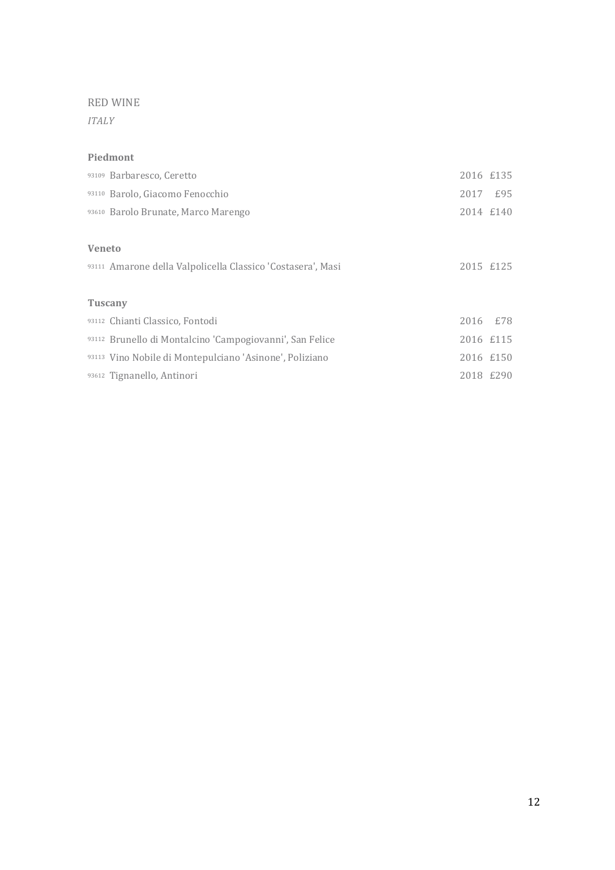*ITALY*

#### **Piedmont**

|               | 93109 Barbaresco, Ceretto                                   | 2016 £135 |     |
|---------------|-------------------------------------------------------------|-----------|-----|
|               | 93110 Barolo, Giacomo Fenocchio                             | 2017      | £95 |
|               | 93610 Barolo Brunate, Marco Marengo                         | 2014 £140 |     |
|               |                                                             |           |     |
| <b>Veneto</b> |                                                             |           |     |
|               | 93111 Amarone della Valpolicella Classico 'Costasera', Masi | 2015 £125 |     |
|               |                                                             |           |     |
|               | <b>Tuscany</b>                                              |           |     |
|               | 93112 Chianti Classico, Fontodi                             | 2016 £78  |     |
|               | 93112 Brunello di Montalcino 'Campogiovanni', San Felice    | 2016 £115 |     |
|               | 93113 Vino Nobile di Montepulciano 'Asinone', Poliziano     | 2016 £150 |     |
|               | 93612 Tignanello, Antinori                                  | 2018 £290 |     |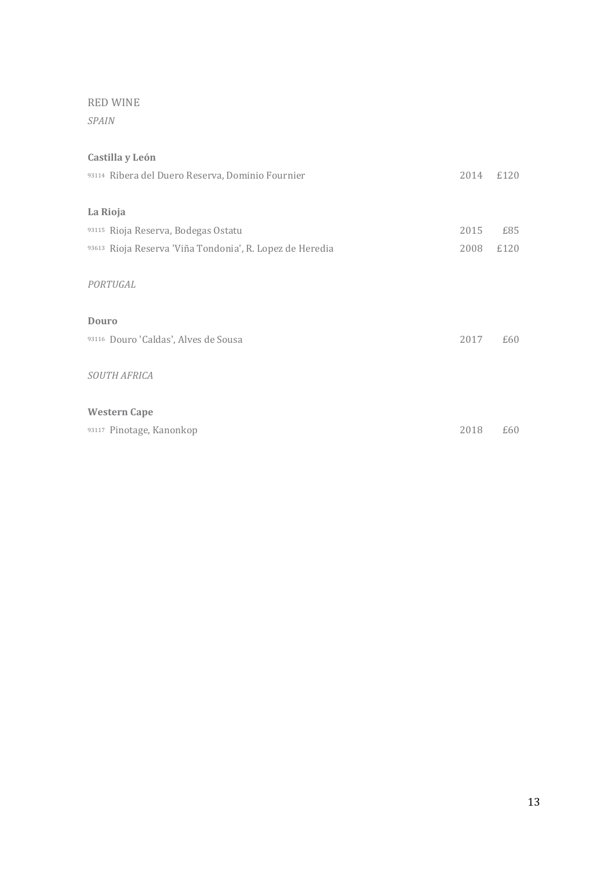*SPAIN*

## **Castilla y León**

| 93114 Ribera del Duero Reserva, Dominio Fournier         | 2014 | £120 |
|----------------------------------------------------------|------|------|
| La Rioja                                                 |      |      |
| 93115 Rioja Reserva, Bodegas Ostatu                      | 2015 | £85  |
| 93613 Rioja Reserva 'Viña Tondonia', R. Lopez de Heredia | 2008 | £120 |
| PORTUGAL                                                 |      |      |
| Douro                                                    |      |      |
| 93116 Douro 'Caldas', Alves de Sousa                     | 2017 | £60  |
| SOUTH AFRICA                                             |      |      |
| <b>Western Cape</b>                                      |      |      |
| 93117 Pinotage, Kanonkop                                 | 2018 | £60  |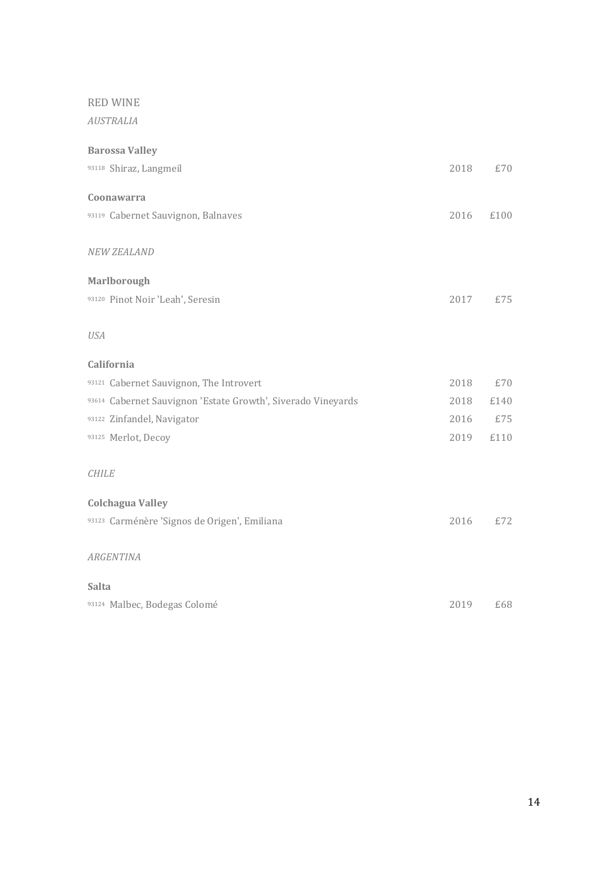*AUSTRALIA*

| <b>Barossa Valley</b>                                        |      |      |
|--------------------------------------------------------------|------|------|
| 93118 Shiraz, Langmeil                                       | 2018 | £70  |
| Coonawarra                                                   |      |      |
|                                                              |      |      |
| 93119 Cabernet Sauvignon, Balnaves                           | 2016 | £100 |
| <b>NEW ZEALAND</b>                                           |      |      |
|                                                              |      |      |
| <b>Marlborough</b>                                           |      |      |
| 93120 Pinot Noir 'Leah', Seresin                             | 2017 | £75  |
|                                                              |      |      |
| <b>USA</b>                                                   |      |      |
| California                                                   |      |      |
| 93121 Cabernet Sauvignon, The Introvert                      | 2018 | £70  |
| 93614 Cabernet Sauvignon 'Estate Growth', Siverado Vineyards | 2018 | £140 |
| 93122 Zinfandel, Navigator                                   | 2016 | £75  |
| 93125 Merlot, Decoy                                          | 2019 | £110 |
|                                                              |      |      |
| <b>CHILE</b>                                                 |      |      |
| <b>Colchagua Valley</b>                                      |      |      |
| 93123 Carménère 'Signos de Origen', Emiliana                 | 2016 | £72  |
|                                                              |      |      |
| <b>ARGENTINA</b>                                             |      |      |
| Salta                                                        |      |      |
| 93124 Malbec, Bodegas Colomé                                 | 2019 | £68  |
|                                                              |      |      |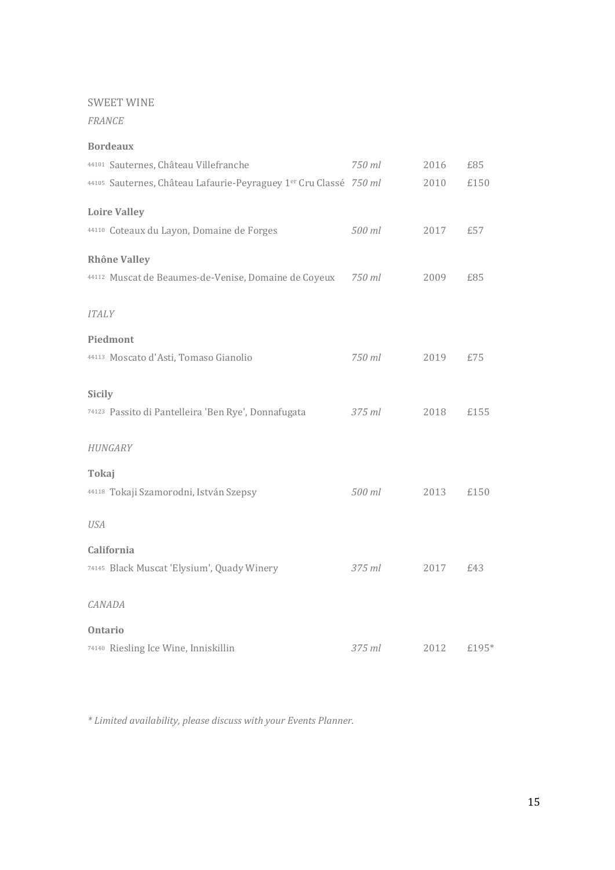#### SWEET WINE

*FRANCE*

| <b>Bordeaux</b>                                                   |        |      |       |
|-------------------------------------------------------------------|--------|------|-------|
| 44101 Sauternes, Château Villefranche                             | 750 ml | 2016 | £85   |
| 44105 Sauternes, Château Lafaurie-Peyraguey 1er Cru Classé 750 ml |        | 2010 | £150  |
| <b>Loire Valley</b>                                               |        |      |       |
| 44110 Coteaux du Layon, Domaine de Forges                         | 500 ml | 2017 | £57   |
| <b>Rhône Valley</b>                                               |        |      |       |
| 44112 Muscat de Beaumes-de-Venise, Domaine de Coyeux              | 750 ml | 2009 | £85   |
| <b>ITALY</b>                                                      |        |      |       |
| Piedmont                                                          |        |      |       |
| 44113 Moscato d'Asti, Tomaso Gianolio                             | 750 ml | 2019 | £75   |
| <b>Sicily</b>                                                     |        |      |       |
| 74123 Passito di Pantelleira 'Ben Rye', Donnafugata               | 375 ml | 2018 | £155  |
| HUNGARY                                                           |        |      |       |
| Tokaj                                                             |        |      |       |
| 44118 Tokaji Szamorodni, István Szepsy                            | 500 ml | 2013 | £150  |
| <b>USA</b>                                                        |        |      |       |
| California                                                        |        |      |       |
| 74145 Black Muscat 'Elysium', Quady Winery                        | 375 ml | 2017 | £43   |
| CANADA                                                            |        |      |       |
| <b>Ontario</b>                                                    |        |      |       |
| 74140 Riesling Ice Wine, Inniskillin                              | 375 ml | 2012 | £195* |

*\* Limited availability, please discuss with your Events Planner.*